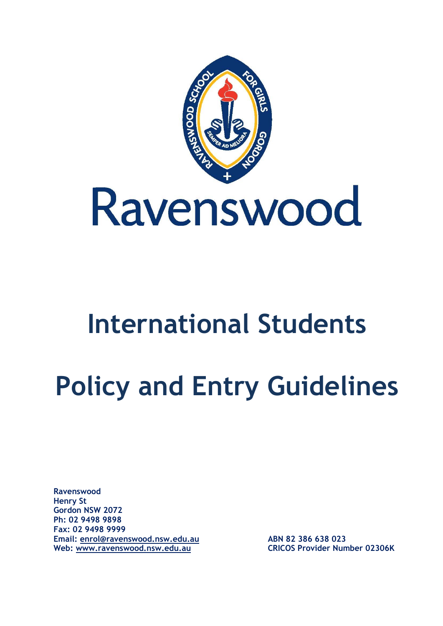

# **International Students**

# **Policy and Entry Guidelines**

**Ravenswood Henry St Gordon NSW 2072 Ph: 02 9498 9898 Fax: 02 9498 9999 Email: [enrol@ravenswood.nsw.edu.au](mailto:enrol@ravenswood.nsw.edu.au) ABN 82 386 638 023 Web: [www.ravenswood.nsw.edu.au](http://www.ravenswood.nsw.edu.au/) CRICOS Provider Number 02306K**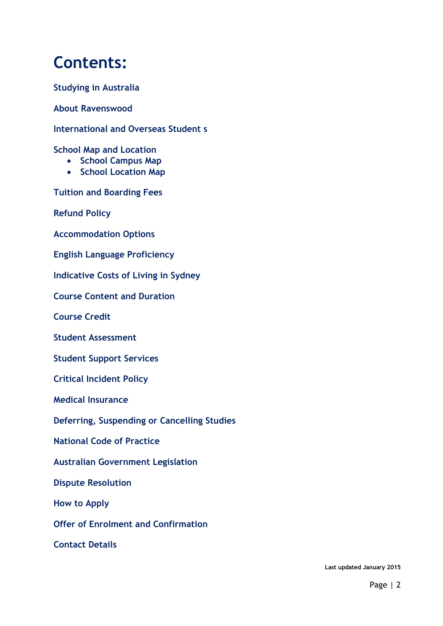# **Contents:**

**Studying in Australia**

**About Ravenswood** 

**International and Overseas Student s**

**School Map and Location**

- **School Campus Map**
- **School Location Map**

**Tuition and Boarding Fees**

**Refund Policy**

**Accommodation Options**

**English Language Proficiency**

**Indicative Costs of Living in Sydney**

**Course Content and Duration**

**Course Credit**

**Student Assessment**

**Student Support Services**

**Critical Incident Policy**

**Medical Insurance**

**Deferring, Suspending or Cancelling Studies**

**National Code of Practice**

**Australian Government Legislation**

**Dispute Resolution**

**How to Apply**

**Offer of Enrolment and Confirmation**

**Contact Details**

**Last updated January 2015**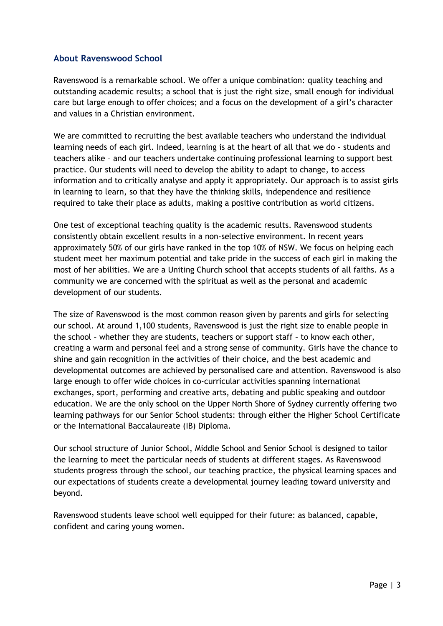# **About Ravenswood School**

Ravenswood is a remarkable school. We offer a unique combination: quality teaching and outstanding academic results; a school that is just the right size, small enough for individual care but large enough to offer choices; and a focus on the development of a girl's character and values in a Christian environment.

We are committed to recruiting the best available teachers who understand the individual learning needs of each girl. Indeed, learning is at the heart of all that we do – students and teachers alike – and our teachers undertake continuing professional learning to support best practice. Our students will need to develop the ability to adapt to change, to access information and to critically analyse and apply it appropriately. Our approach is to assist girls in learning to learn, so that they have the thinking skills, independence and resilience required to take their place as adults, making a positive contribution as world citizens.

One test of exceptional teaching quality is the academic results. Ravenswood students consistently obtain excellent results in a non-selective environment. In recent years approximately 50% of our girls have ranked in the top 10% of NSW. We focus on helping each student meet her maximum potential and take pride in the success of each girl in making the most of her abilities. We are a Uniting Church school that accepts students of all faiths. As a community we are concerned with the spiritual as well as the personal and academic development of our students.

The size of Ravenswood is the most common reason given by parents and girls for selecting our school. At around 1,100 students, Ravenswood is just the right size to enable people in the school – whether they are students, teachers or support staff – to know each other, creating a warm and personal feel and a strong sense of community. Girls have the chance to shine and gain recognition in the activities of their choice, and the best academic and developmental outcomes are achieved by personalised care and attention. Ravenswood is also large enough to offer wide choices in co-curricular activities spanning international exchanges, sport, performing and creative arts, debating and public speaking and outdoor education. We are the only school on the Upper North Shore of Sydney currently offering two learning pathways for our Senior School students: through either the Higher School Certificate or the International Baccalaureate (IB) Diploma.

Our school structure of Junior School, Middle School and Senior School is designed to tailor the learning to meet the particular needs of students at different stages. As Ravenswood students progress through the school, our teaching practice, the physical learning spaces and our expectations of students create a developmental journey leading toward university and beyond.

Ravenswood students leave school well equipped for their future: as balanced, capable, confident and caring young women.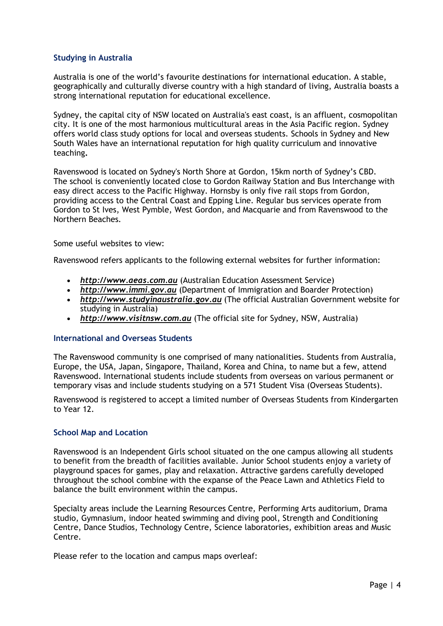# **Studying in Australia**

Australia is one of the world's favourite destinations for international education. A stable, geographically and culturally diverse country with a high standard of living, Australia boasts a strong international reputation for educational excellence.

Sydney, the capital city of NSW located on Australia's east coast, is an affluent, cosmopolitan city. It is one of the most harmonious multicultural areas in the Asia Pacific region. Sydney offers world class study options for local and overseas students. Schools in Sydney and New South Wales have an international reputation for high quality curriculum and innovative teaching**.**

Ravenswood is located on Sydney's North Shore at Gordon, 15km north of Sydney's CBD. The school is conveniently located close to Gordon Railway Station and Bus Interchange with easy direct access to the Pacific Highway. Hornsby is only five rail stops from Gordon, providing access to the Central Coast and Epping Line. Regular bus services operate from Gordon to St Ives, West Pymble, West Gordon, and Macquarie and from Ravenswood to the Northern Beaches.

Some useful websites to view:

Ravenswood refers applicants to the following external websites for further information:

- *[http://www.aeas.com.au](http://www.aeas.com.au/)* (Australian Education Assessment Service)
- *[http://www.immi.gov.au](http://www.immi.gov.au/)* (Department of Immigration and Boarder Protection)
- *[http://www.studyinaustralia.gov.au](http://www.studyinaustralia.gov.au/)* (The official Australian Government website for studying in Australia)
- *[http://www.visitnsw.com.au](http://www.visitnsw.com.au/)* (The official site for Sydney, NSW, Australia)

# **International and Overseas Students**

The Ravenswood community is one comprised of many nationalities. Students from Australia, Europe, the USA, Japan, Singapore, Thailand, Korea and China, to name but a few, attend Ravenswood. International students include students from overseas on various permanent or temporary visas and include students studying on a 571 Student Visa (Overseas Students).

Ravenswood is registered to accept a limited number of Overseas Students from Kindergarten to Year 12.

# **School Map and Location**

Ravenswood is an Independent Girls school situated on the one campus allowing all students to benefit from the breadth of facilities available. Junior School students enjoy a variety of playground spaces for games, play and relaxation. Attractive gardens carefully developed throughout the school combine with the expanse of the Peace Lawn and Athletics Field to balance the built environment within the campus.

Specialty areas include the Learning Resources Centre, Performing Arts auditorium, Drama studio, Gymnasium, indoor heated swimming and diving pool, Strength and Conditioning Centre, Dance Studios, Technology Centre, Science laboratories, exhibition areas and Music Centre.

Please refer to the location and campus maps overleaf: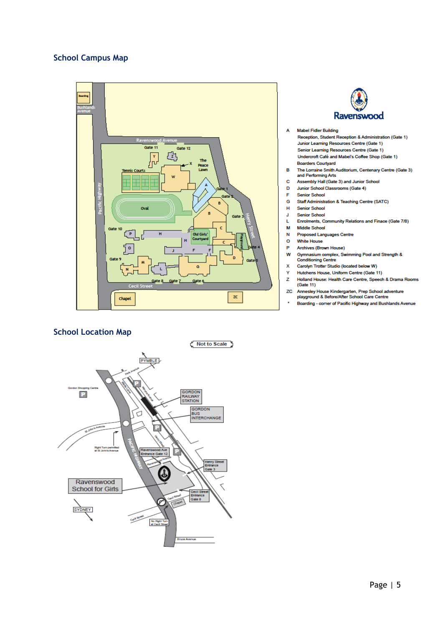# **School Campus Map**



# **School Location Map**





#### **Mabel Fidler Building**  $\overline{A}$

| Reception, Student Reception & Administration (Gate 1) |
|--------------------------------------------------------|
| Junior Learning Resources Centre (Gate 1)              |
| Senior Learning Resources Centre (Gate 1)              |
| Undercroft Café and Mabel's Coffee Shop (Gate 1)       |
| <b>Boarders Courtvard</b>                              |

- B The Lorraine Smith Auditorium, Centenary Centre (Gate 3) and Performing Arts
- c Assembly Hall (Gate 3) and Junior School
- Junior School Classrooms (Gate 4) D
- **Senior School** F
- G. Staff Administration & Teaching Centre (SATC)
- $\pmb{\mathsf{H}}$ **Senior School**
- **Senior School** J L
- Enrolments, Community Relations and Finace (Gate 7/8)
- Middle School M  $\overline{\mathbf{N}}$ Proposed Languages Centre
- $\circ$ **White House**
- P Archives (Brown House)
- W Gymnasium complex, Swimming Pool and Strength & **Conditioning Centre**
- x Carolyn Trotter Studio (located below W)
- Ÿ Hutchens House, Uniform Centre (Gate 11)
- z Holland House: Health Care Centre, Speech & Drama Rooms  $(Gate 11)$
- 20 Annesley House Kindergarten, Prep School adventure<br>playground & Before/After School Care Centre
- l, Boarding - corner of Pacific Highway and Bushlands Avenue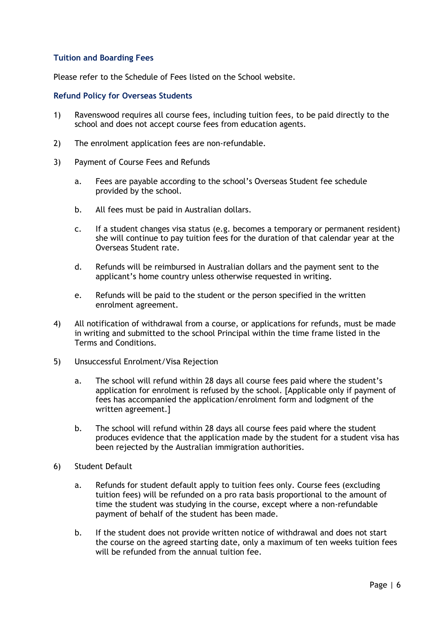# **Tuition and Boarding Fees**

Please refer to the Schedule of Fees listed on the School website.

# **Refund Policy for Overseas Students**

- 1) Ravenswood requires all course fees, including tuition fees, to be paid directly to the school and does not accept course fees from education agents.
- 2) The enrolment application fees are non-refundable.
- 3) Payment of Course Fees and Refunds
	- a. Fees are payable according to the school's Overseas Student fee schedule provided by the school.
	- b. All fees must be paid in Australian dollars.
	- c. If a student changes visa status (e.g. becomes a temporary or permanent resident) she will continue to pay tuition fees for the duration of that calendar year at the Overseas Student rate.
	- d. Refunds will be reimbursed in Australian dollars and the payment sent to the applicant's home country unless otherwise requested in writing.
	- e. Refunds will be paid to the student or the person specified in the written enrolment agreement.
- 4) All notification of withdrawal from a course, or applications for refunds, must be made in writing and submitted to the school Principal within the time frame listed in the Terms and Conditions.
- 5) Unsuccessful Enrolment/Visa Rejection
	- a. The school will refund within 28 days all course fees paid where the student's application for enrolment is refused by the school. [Applicable only if payment of fees has accompanied the application/enrolment form and lodgment of the written agreement.]
	- b. The school will refund within 28 days all course fees paid where the student produces evidence that the application made by the student for a student visa has been rejected by the Australian immigration authorities.
- 6) Student Default
	- a. Refunds for student default apply to tuition fees only. Course fees (excluding tuition fees) will be refunded on a pro rata basis proportional to the amount of time the student was studying in the course, except where a non-refundable payment of behalf of the student has been made.
	- b. If the student does not provide written notice of withdrawal and does not start the course on the agreed starting date, only a maximum of ten weeks tuition fees will be refunded from the annual tuition fee.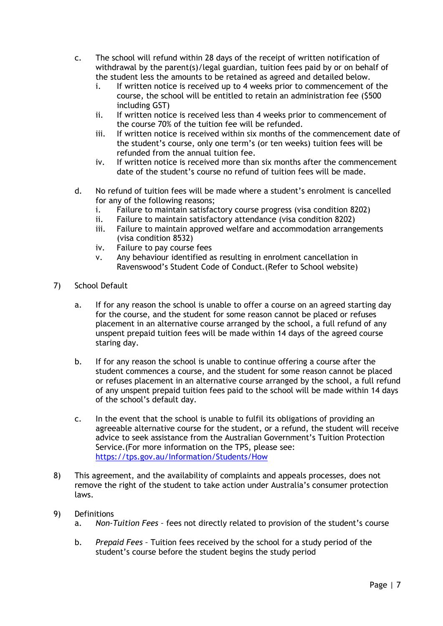- c. The school will refund within 28 days of the receipt of written notification of withdrawal by the parent(s)/legal guardian, tuition fees paid by or on behalf of the student less the amounts to be retained as agreed and detailed below.
	- i. If written notice is received up to 4 weeks prior to commencement of the course, the school will be entitled to retain an administration fee (\$500 including GST)
	- ii. If written notice is received less than 4 weeks prior to commencement of the course 70% of the tuition fee will be refunded.
	- iii. If written notice is received within six months of the commencement date of the student's course, only one term's (or ten weeks) tuition fees will be refunded from the annual tuition fee.
	- iv. If written notice is received more than six months after the commencement date of the student's course no refund of tuition fees will be made.
- d. No refund of tuition fees will be made where a student's enrolment is cancelled for any of the following reasons;
	- i. Failure to maintain satisfactory course progress (visa condition 8202)
	- ii. Failure to maintain satisfactory attendance (visa condition 8202)
	- iii. Failure to maintain approved welfare and accommodation arrangements (visa condition 8532)
	- iv. Failure to pay course fees
	- v. Any behaviour identified as resulting in enrolment cancellation in Ravenswood's Student Code of Conduct.(Refer to School website)
- 7) School Default
	- a. If for any reason the school is unable to offer a course on an agreed starting day for the course, and the student for some reason cannot be placed or refuses placement in an alternative course arranged by the school, a full refund of any unspent prepaid tuition fees will be made within 14 days of the agreed course staring day.
	- b. If for any reason the school is unable to continue offering a course after the student commences a course, and the student for some reason cannot be placed or refuses placement in an alternative course arranged by the school, a full refund of any unspent prepaid tuition fees paid to the school will be made within 14 days of the school's default day.
	- c. In the event that the school is unable to fulfil its obligations of providing an agreeable alternative course for the student, or a refund, the student will receive advice to seek assistance from the Australian Government's Tuition Protection Service.(For more information on the TPS, please see: <https://tps.gov.au/Information/Students/How>
- 8) This agreement, and the availability of complaints and appeals processes, does not remove the right of the student to take action under Australia's consumer protection laws.
- 9) Definitions
	- a. *Non-Tuition Fees –* fees not directly related to provision of the student's course
	- b. *Prepaid Fees –* Tuition fees received by the school for a study period of the student's course before the student begins the study period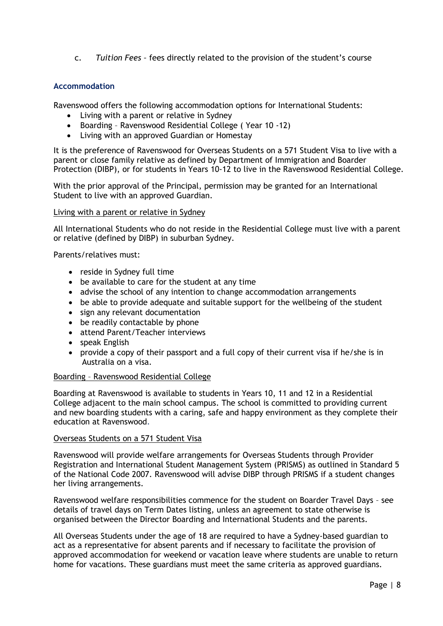c. *Tuition Fees –* fees directly related to the provision of the student's course

# **Accommodation**

Ravenswood offers the following accommodation options for International Students:

- Living with a parent or relative in Sydney
- Boarding Ravenswood Residential College ( Year 10 -12)
- Living with an approved Guardian or Homestay

It is the preference of Ravenswood for Overseas Students on a 571 Student Visa to live with a parent or close family relative as defined by Department of Immigration and Boarder Protection (DIBP), or for students in Years 10-12 to live in the Ravenswood Residential College.

With the prior approval of the Principal, permission may be granted for an International Student to live with an approved Guardian.

# Living with a parent or relative in Sydney

All International Students who do not reside in the Residential College must live with a parent or relative (defined by DIBP) in suburban Sydney.

Parents/relatives must:

- reside in Sydney full time
- be available to care for the student at any time
- advise the school of any intention to change accommodation arrangements
- be able to provide adequate and suitable support for the wellbeing of the student
- sign any relevant documentation
- be readily contactable by phone
- attend Parent/Teacher interviews
- speak English
- provide a copy of their passport and a full copy of their current visa if he/she is in Australia on a visa.

# Boarding – Ravenswood Residential College

Boarding at Ravenswood is available to students in Years 10, 11 and 12 in a Residential College adjacent to the main school campus. The school is committed to providing current and new boarding students with a caring, safe and happy environment as they complete their education at Ravenswood.

# Overseas Students on a 571 Student Visa

Ravenswood will provide welfare arrangements for Overseas Students through Provider Registration and International Student Management System (PRISMS) as outlined in Standard 5 of the National Code 2007. Ravenswood will advise DIBP through PRISMS if a student changes her living arrangements.

Ravenswood welfare responsibilities commence for the student on Boarder Travel Days – see details of travel days on Term Dates listing, unless an agreement to state otherwise is organised between the Director Boarding and International Students and the parents.

All Overseas Students under the age of 18 are required to have a Sydney-based guardian to act as a representative for absent parents and if necessary to facilitate the provision of approved accommodation for weekend or vacation leave where students are unable to return home for vacations. These guardians must meet the same criteria as approved guardians.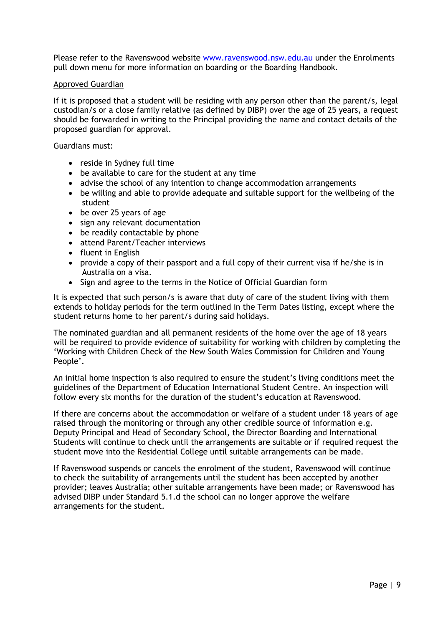Please refer to the Ravenswood website [www.ravenswood.nsw.edu.au](http://www.ravenswood.nsw.edu.au/) under the Enrolments pull down menu for more information on boarding or the Boarding Handbook.

# Approved Guardian

If it is proposed that a student will be residing with any person other than the parent/s, legal custodian/s or a close family relative (as defined by DIBP) over the age of 25 years, a request should be forwarded in writing to the Principal providing the name and contact details of the proposed guardian for approval.

Guardians must:

- reside in Sydney full time
- be available to care for the student at any time
- advise the school of any intention to change accommodation arrangements
- be willing and able to provide adequate and suitable support for the wellbeing of the student
- be over 25 years of age
- sign any relevant documentation
- be readily contactable by phone
- attend Parent/Teacher interviews
- fluent in English
- provide a copy of their passport and a full copy of their current visa if he/she is in Australia on a visa.
- Sign and agree to the terms in the Notice of Official Guardian form

It is expected that such person/s is aware that duty of care of the student living with them extends to holiday periods for the term outlined in the Term Dates listing, except where the student returns home to her parent/s during said holidays.

The nominated guardian and all permanent residents of the home over the age of 18 years will be required to provide evidence of suitability for working with children by completing the 'Working with Children Check of the New South Wales Commission for Children and Young People'.

An initial home inspection is also required to ensure the student's living conditions meet the guidelines of the Department of Education International Student Centre. An inspection will follow every six months for the duration of the student's education at Ravenswood.

If there are concerns about the accommodation or welfare of a student under 18 years of age raised through the monitoring or through any other credible source of information e.g. Deputy Principal and Head of Secondary School, the Director Boarding and International Students will continue to check until the arrangements are suitable or if required request the student move into the Residential College until suitable arrangements can be made.

If Ravenswood suspends or cancels the enrolment of the student, Ravenswood will continue to check the suitability of arrangements until the student has been accepted by another provider; leaves Australia; other suitable arrangements have been made; or Ravenswood has advised DIBP under Standard 5.1.d the school can no longer approve the welfare arrangements for the student.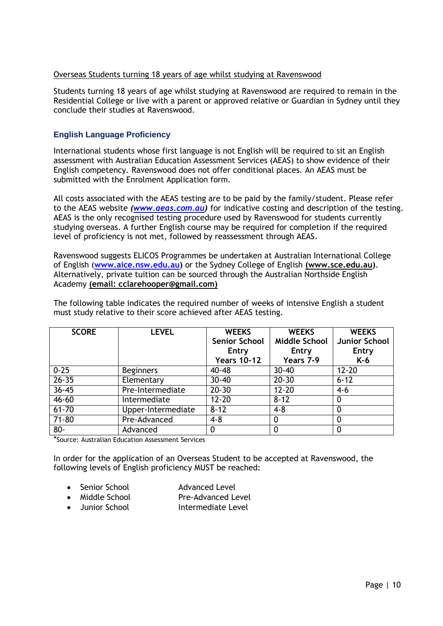# Overseas Students turning 18 years of age whilst studying at Ravenswood

Students turning 18 years of age whilst studying at Ravenswood are required to remain in the Residential College or live with a parent or approved relative or Guardian in Sydney until they conclude their studies at Ravenswood.

# **English Language Proficiency**

International students whose first language is not English will be required to sit an English assessment with Australian Education Assessment Services (AEAS) to show evidence of their English competency. Ravenswood does not offer conditional places. An AEAS must be submitted with the Enrolment Application form.

All costs associated with the AEAS testing are to be paid by the family/student. Please refer to the AEAS website *[\(www.aeas.com.au\)](www.aeas.com.au)* for indicative costing and description of the testing. AEAS is the only recognised testing procedure used by Ravenswood for students currently studying overseas. A further English course may be required for completion if the required level of proficiency is not met, followed by reassessment through AEAS.

Ravenswood suggests ELICOS Programmes be undertaken at Australian International College of English (**[www.aice.nsw.edu.au\)](http://www.aice.nsw.edu.au/)** or the Sydney College of English **(www.sce.edu.au)**. Alternatively, private tuition can be sourced through the Australian Northside English Academy **(email: cclarehooper@gmail.com)**

The following table indicates the required number of weeks of intensive English a student must study relative to their score achieved after AEAS testing.

| <b>SCORE</b> | <b>LEVEL</b>       | <b>WEEKS</b>         | <b>WEEKS</b>         | <b>WEEKS</b>  |
|--------------|--------------------|----------------------|----------------------|---------------|
|              |                    | <b>Senior School</b> | <b>Middle School</b> | Junior School |
|              |                    | Entry                | Entry                | Entry         |
|              |                    | <b>Years 10-12</b>   | Years 7-9            | K-6           |
| $0 - 25$     | <b>Beginners</b>   | $40 - 48$            | $30 - 40$            | $12 - 20$     |
| $26 - 35$    | Elementary         | $30 - 40$            | $20 - 30$            | $6 - 12$      |
| $36 - 45$    | Pre-Intermediate   | $20 - 30$            | $12 - 20$            | $4-6$         |
| $46 - 60$    | Intermediate       | $12 - 20$            | $8 - 12$             |               |
| $61 - 70$    | Upper-Intermediate | $8 - 12$             | $4 - 8$              |               |
| $71 - 80$    | Pre-Advanced       | $4 - 8$              |                      |               |
| $80 -$       | Advanced           |                      |                      |               |

\*Source: Australian Education Assessment Services

In order for the application of an Overseas Student to be accepted at Ravenswood, the following levels of English proficiency MUST be reached:

- Senior School **Advanced Level** 
	-
- Middle School Pre-Advanced Level
- Junior School Intermediate Level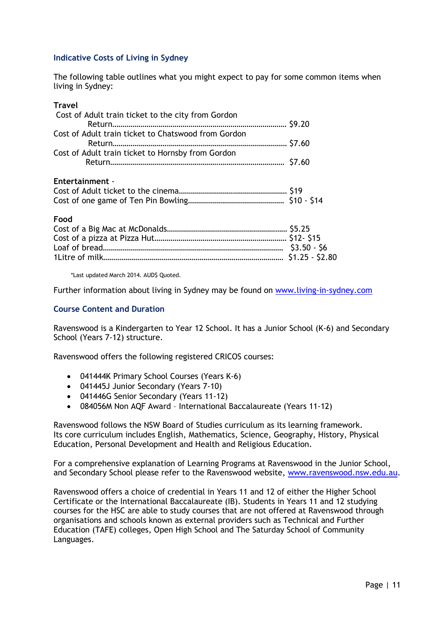# **Indicative Costs of Living in Sydney**

The following table outlines what you might expect to pay for some common items when living in Sydney:

# **Travel**

| Cost of Adult train ticket to the city from Gordon  |  |
|-----------------------------------------------------|--|
| Cost of Adult train ticket to Chatswood from Gordon |  |
|                                                     |  |
| Cost of Adult train ticket to Hornsby from Gordon   |  |
|                                                     |  |
| <b>Entertainment -</b>                              |  |
|                                                     |  |
|                                                     |  |

### **Food**

\*Last updated March 2014. AUD\$ Quoted.

Further information about living in Sydney may be found on [www.living-in-sydney.com](http://www.living-in-sydney.com/)

# **Course Content and Duration**

Ravenswood is a Kindergarten to Year 12 School. It has a Junior School (K-6) and Secondary School (Years 7-12) structure.

Ravenswood offers the following registered CRICOS courses:

- 041444K Primary School Courses (Years K-6)
- 041445J Junior Secondary (Years 7-10)
- 041446G Senior Secondary (Years 11-12)
- 084056M Non AQF Award International Baccalaureate (Years 11-12)

Ravenswood follows the NSW Board of Studies curriculum as its learning framework. Its core curriculum includes English, Mathematics, Science, Geography, History, Physical Education, Personal Development and Health and Religious Education.

For a comprehensive explanation of Learning Programs at Ravenswood in the Junior School, and Secondary School please refer to the Ravenswood website, [www.ravenswood.nsw.edu.au.](http://www.ravenswood.nsw.edu.au/)

Ravenswood offers a choice of credential in Years 11 and 12 of either the Higher School Certificate or the International Baccalaureate (IB). Students in Years 11 and 12 studying courses for the HSC are able to study courses that are not offered at Ravenswood through organisations and schools known as external providers such as Technical and Further Education (TAFE) colleges, Open High School and The Saturday School of Community Languages.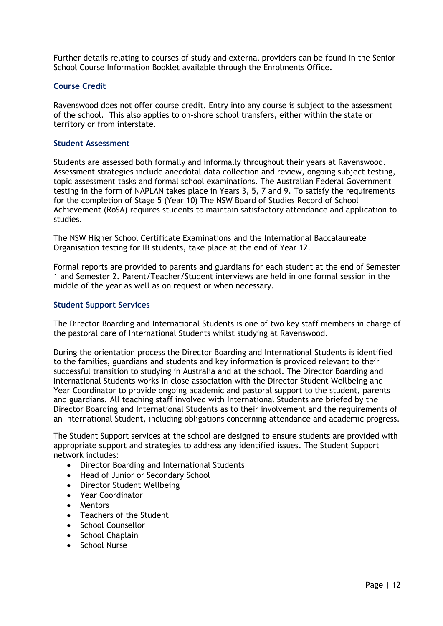Further details relating to courses of study and external providers can be found in the Senior School Course Information Booklet available through the Enrolments Office.

# **Course Credit**

Ravenswood does not offer course credit. Entry into any course is subject to the assessment of the school. This also applies to on-shore school transfers, either within the state or territory or from interstate.

# **Student Assessment**

Students are assessed both formally and informally throughout their years at Ravenswood. Assessment strategies include anecdotal data collection and review, ongoing subject testing, topic assessment tasks and formal school examinations. The Australian Federal Government testing in the form of NAPLAN takes place in Years 3, 5, 7 and 9. To satisfy the requirements for the completion of Stage 5 (Year 10) The NSW Board of Studies Record of School Achievement (RoSA) requires students to maintain satisfactory attendance and application to studies.

The NSW Higher School Certificate Examinations and the International Baccalaureate Organisation testing for IB students, take place at the end of Year 12.

Formal reports are provided to parents and guardians for each student at the end of Semester 1 and Semester 2. Parent/Teacher/Student interviews are held in one formal session in the middle of the year as well as on request or when necessary.

# **Student Support Services**

The Director Boarding and International Students is one of two key staff members in charge of the pastoral care of International Students whilst studying at Ravenswood.

During the orientation process the Director Boarding and International Students is identified to the families, guardians and students and key information is provided relevant to their successful transition to studying in Australia and at the school. The Director Boarding and International Students works in close association with the Director Student Wellbeing and Year Coordinator to provide ongoing academic and pastoral support to the student, parents and guardians. All teaching staff involved with International Students are briefed by the Director Boarding and International Students as to their involvement and the requirements of an International Student, including obligations concerning attendance and academic progress.

The Student Support services at the school are designed to ensure students are provided with appropriate support and strategies to address any identified issues. The Student Support network includes:

- Director Boarding and International Students
- Head of Junior or Secondary School
- Director Student Wellbeing
- Year Coordinator
- Mentors
- Teachers of the Student
- School Counsellor
- School Chaplain
- School Nurse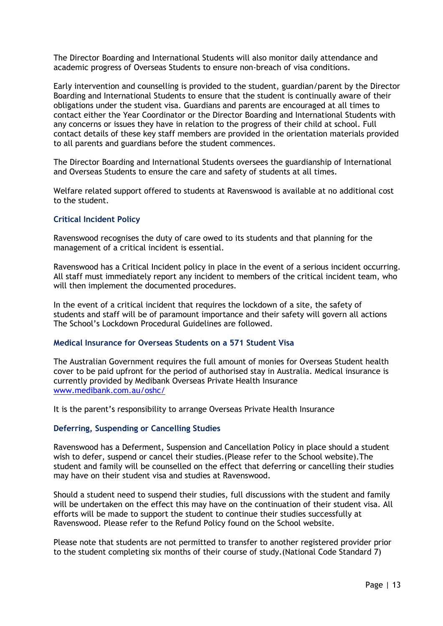The Director Boarding and International Students will also monitor daily attendance and academic progress of Overseas Students to ensure non-breach of visa conditions.

Early intervention and counselling is provided to the student, guardian/parent by the Director Boarding and International Students to ensure that the student is continually aware of their obligations under the student visa. Guardians and parents are encouraged at all times to contact either the Year Coordinator or the Director Boarding and International Students with any concerns or issues they have in relation to the progress of their child at school. Full contact details of these key staff members are provided in the orientation materials provided to all parents and guardians before the student commences.

The Director Boarding and International Students oversees the guardianship of International and Overseas Students to ensure the care and safety of students at all times.

Welfare related support offered to students at Ravenswood is available at no additional cost to the student.

# **Critical Incident Policy**

Ravenswood recognises the duty of care owed to its students and that planning for the management of a critical incident is essential.

Ravenswood has a Critical Incident policy in place in the event of a serious incident occurring. All staff must immediately report any incident to members of the critical incident team, who will then implement the documented procedures.

In the event of a critical incident that requires the lockdown of a site, the safety of students and staff will be of paramount importance and their safety will govern all actions The School's Lockdown Procedural Guidelines are followed.

# **Medical Insurance for Overseas Students on a 571 Student Visa**

The Australian Government requires the full amount of monies for Overseas Student health cover to be paid upfront for the period of authorised stay in Australia. Medical insurance is currently provided by Medibank Overseas Private Health Insurance [www.medibank.com.au/oshc/](http://www.medibank.com.au/oshc/)

It is the parent's responsibility to arrange Overseas Private Health Insurance

# **Deferring, Suspending or Cancelling Studies**

Ravenswood has a Deferment, Suspension and Cancellation Policy in place should a student wish to defer, suspend or cancel their studies.(Please refer to the School website).The student and family will be counselled on the effect that deferring or cancelling their studies may have on their student visa and studies at Ravenswood.

Should a student need to suspend their studies, full discussions with the student and family will be undertaken on the effect this may have on the continuation of their student visa. All efforts will be made to support the student to continue their studies successfully at Ravenswood. Please refer to the Refund Policy found on the School website.

Please note that students are not permitted to transfer to another registered provider prior to the student completing six months of their course of study.(National Code Standard 7)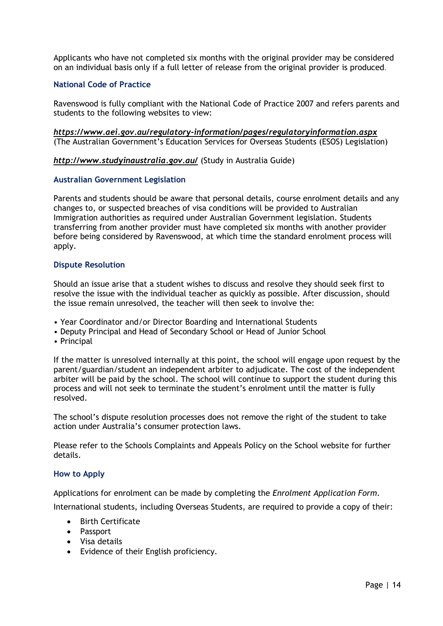Applicants who have not completed six months with the original provider may be considered on an individual basis only if a full letter of release from the original provider is produced.

# **National Code of Practice**

Ravenswood is fully compliant with the National Code of Practice 2007 and refers parents and students to the following websites to view:

*<https://www.aei.gov.au/regulatory-information/pages/regulatoryinformation.aspx>* (The Australian Government's Education Services for Overseas Students (ESOS) Legislation)

*<http://www.studyinaustralia.gov.au/>* (Study in Australia Guide)

## **Australian Government Legislation**

Parents and students should be aware that personal details, course enrolment details and any changes to, or suspected breaches of visa conditions will be provided to Australian Immigration authorities as required under Australian Government legislation. Students transferring from another provider must have completed six months with another provider before being considered by Ravenswood, at which time the standard enrolment process will apply.

## **Dispute Resolution**

Should an issue arise that a student wishes to discuss and resolve they should seek first to resolve the issue with the individual teacher as quickly as possible. After discussion, should the issue remain unresolved, the teacher will then seek to involve the:

- Year Coordinator and/or Director Boarding and International Students
- Deputy Principal and Head of Secondary School or Head of Junior School
- Principal

If the matter is unresolved internally at this point, the school will engage upon request by the parent/guardian/student an independent arbiter to adjudicate. The cost of the independent arbiter will be paid by the school. The school will continue to support the student during this process and will not seek to terminate the student's enrolment until the matter is fully resolved.

The school's dispute resolution processes does not remove the right of the student to take action under Australia's consumer protection laws.

Please refer to the Schools Complaints and Appeals Policy on the School website for further details.

# **How to Apply**

Applications for enrolment can be made by completing the *Enrolment Application Form*.

International students, including Overseas Students, are required to provide a copy of their:

- Birth Certificate
- Passport
- Visa details
- Evidence of their English proficiency.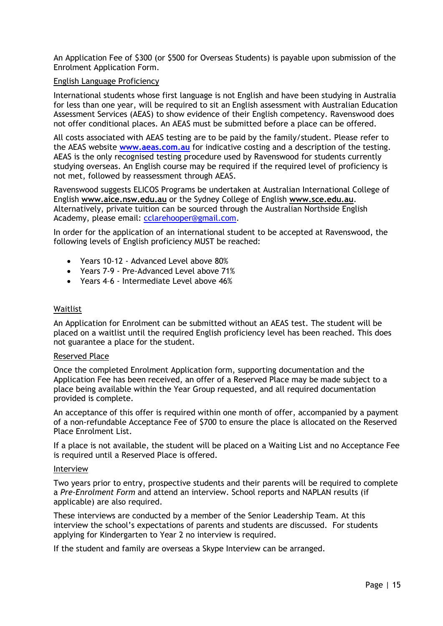An Application Fee of \$300 (or \$500 for Overseas Students) is payable upon submission of the Enrolment Application Form.

# English Language Proficiency

International students whose first language is not English and have been studying in Australia for less than one year, will be required to sit an English assessment with Australian Education Assessment Services (AEAS) to show evidence of their English competency. Ravenswood does not offer conditional places. An AEAS must be submitted before a place can be offered.

All costs associated with AEAS testing are to be paid by the family/student. Please refer to the AEAS website **[www.aeas.com.au](http://www.aeas.com.au/)** for indicative costing and a description of the testing. AEAS is the only recognised testing procedure used by Ravenswood for students currently studying overseas. An English course may be required if the required level of proficiency is not met, followed by reassessment through AEAS.

Ravenswood suggests ELICOS Programs be undertaken at Australian International College of English **www.aice.nsw.edu.au** or the Sydney College of English **www.sce.edu.au**. Alternatively, private tuition can be sourced through the Australian Northside English Academy, please email: [cclarehooper@gmail.com.](mailto:cclarehooper@gmail.com)

In order for the application of an international student to be accepted at Ravenswood, the following levels of English proficiency MUST be reached:

- Years 10-12 Advanced Level above 80%
- Years 7-9 Pre-Advanced Level above 71%
- Years 4–6 Intermediate Level above 46%

# Waitlist

An Application for Enrolment can be submitted without an AEAS test. The student will be placed on a waitlist until the required English proficiency level has been reached. This does not guarantee a place for the student.

# Reserved Place

Once the completed Enrolment Application form, supporting documentation and the Application Fee has been received, an offer of a Reserved Place may be made subject to a place being available within the Year Group requested, and all required documentation provided is complete.

An acceptance of this offer is required within one month of offer, accompanied by a payment of a non-refundable Acceptance Fee of \$700 to ensure the place is allocated on the Reserved Place Enrolment List.

If a place is not available, the student will be placed on a Waiting List and no Acceptance Fee is required until a Reserved Place is offered.

# Interview

Two years prior to entry, prospective students and their parents will be required to complete a *Pre-Enrolment Form* and attend an interview. School reports and NAPLAN results (if applicable) are also required.

These interviews are conducted by a member of the Senior Leadership Team. At this interview the school's expectations of parents and students are discussed. For students applying for Kindergarten to Year 2 no interview is required.

If the student and family are overseas a Skype Interview can be arranged.